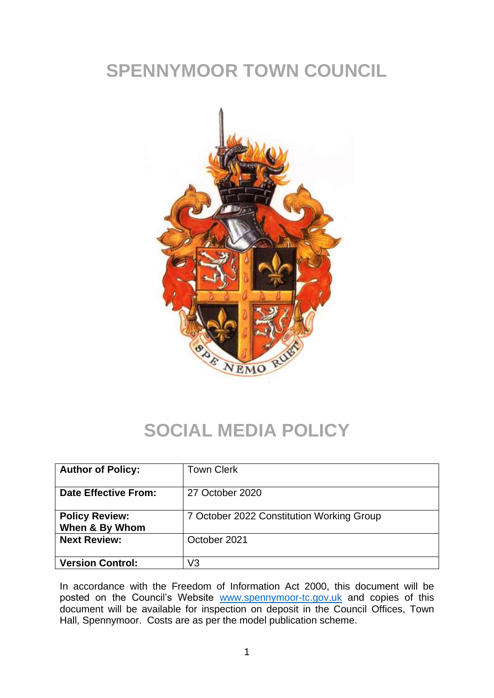# **SPENNYMOOR TOWN COUNCIL**



#### **SOCIAL MEDIA POLICY**

| <b>Author of Policy:</b>                | <b>Town Clerk</b>                         |
|-----------------------------------------|-------------------------------------------|
| Date Effective From:                    | 27 October 2020                           |
| <b>Policy Review:</b><br>When & By Whom | 7 October 2022 Constitution Working Group |
| <b>Next Review:</b>                     | October 2021                              |
| <b>Version Control:</b>                 | V3                                        |

In accordance with the Freedom of Information Act 2000, this document will be posted on the Council's Website [www.spennymoor-tc.gov.uk](http://www.spennymoor-tc.gov.uk/) and copies of this document will be available for inspection on deposit in the Council Offices, Town Hall, Spennymoor. Costs are as per the model publication scheme.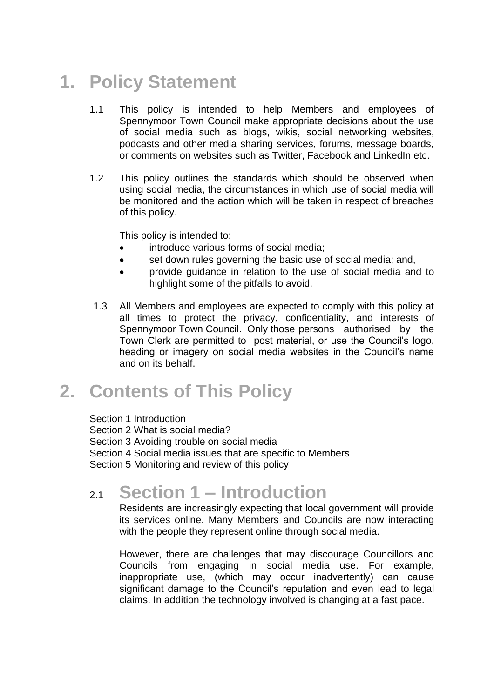# **1. Policy Statement**

- 1.1 This policy is intended to help Members and employees of Spennymoor Town Council make appropriate decisions about the use of social media such as blogs, wikis, social networking websites, podcasts and other media sharing services, forums, message boards, or comments on websites such as Twitter, Facebook and LinkedIn etc.
- 1.2 This policy outlines the standards which should be observed when using social media, the circumstances in which use of social media will be monitored and the action which will be taken in respect of breaches of this policy.

This policy is intended to:

- introduce various forms of social media;
- set down rules governing the basic use of social media; and,
- provide guidance in relation to the use of social media and to highlight some of the pitfalls to avoid.
- 1.3 All Members and employees are expected to comply with this policy at all times to protect the privacy, confidentiality, and interests of Spennymoor Town Council. Only those persons authorised by the Town Clerk are permitted to post material, or use the Council's logo, heading or imagery on social media websites in the Council's name and on its behalf.

### **2. Contents of This Policy**

Section 1 Introduction Section 2 What is social media? Section 3 Avoiding trouble on social media Section 4 Social media issues that are specific to Members Section 5 Monitoring and review of this policy

#### 2.1 **Section 1 – Introduction**

Residents are increasingly expecting that local government will provide its services online. Many Members and Councils are now interacting with the people they represent online through social media.

However, there are challenges that may discourage Councillors and Councils from engaging in social media use. For example, inappropriate use, (which may occur inadvertently) can cause significant damage to the Council's reputation and even lead to legal claims. In addition the technology involved is changing at a fast pace.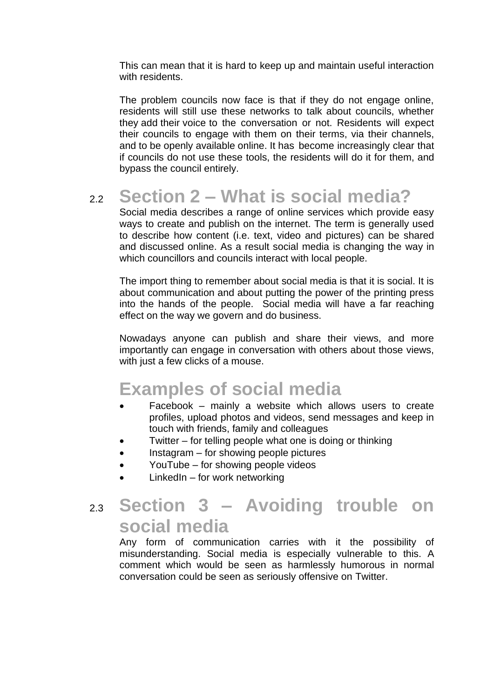This can mean that it is hard to keep up and maintain useful interaction with residents.

The problem councils now face is that if they do not engage online, residents will still use these networks to talk about councils, whether they add their voice to the conversation or not. Residents will expect their councils to engage with them on their terms, via their channels, and to be openly available online. It has become increasingly clear that if councils do not use these tools, the residents will do it for them, and bypass the council entirely.

# 2.2 **Section 2 – What is social media?**

Social media describes a range of online services which provide easy ways to create and publish on the internet. The term is generally used to describe how content (i.e. text, video and pictures) can be shared and discussed online. As a result social media is changing the way in which councillors and councils interact with local people.

The import thing to remember about social media is that it is social. It is about communication and about putting the power of the printing press into the hands of the people. Social media will have a far reaching effect on the way we govern and do business.

Nowadays anyone can publish and share their views, and more importantly can engage in conversation with others about those views, with just a few clicks of a mouse.

#### **Examples of social media**

- Facebook mainly a website which allows users to create profiles, upload photos and videos, send messages and keep in touch with friends, family and colleagues
- Twitter  $-$  for telling people what one is doing or thinking
- Instagram for showing people pictures
- YouTube for showing people videos
- LinkedIn for work networking

#### 2.3 **Section 3 – Avoiding trouble on social media**

Any form of communication carries with it the possibility of misunderstanding. Social media is especially vulnerable to this. A comment which would be seen as harmlessly humorous in normal conversation could be seen as seriously offensive on Twitter.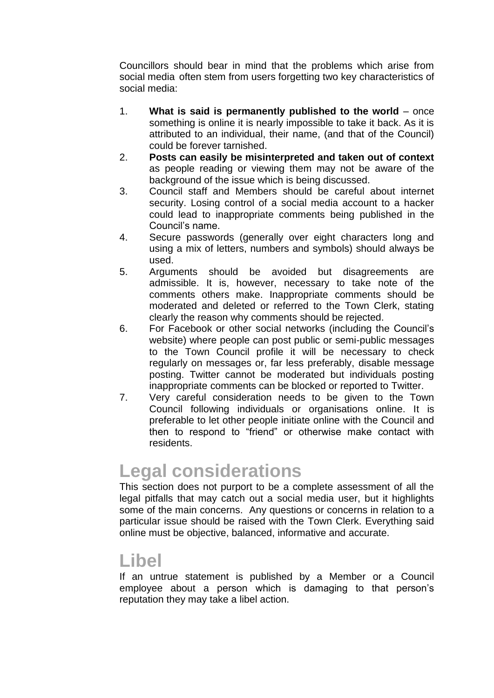Councillors should bear in mind that the problems which arise from social media often stem from users forgetting two key characteristics of social media:

- 1. **What is said is permanently published to the world**  once something is online it is nearly impossible to take it back. As it is attributed to an individual, their name, (and that of the Council) could be forever tarnished.
- 2. **Posts can easily be misinterpreted and taken out of context**  as people reading or viewing them may not be aware of the background of the issue which is being discussed.
- 3. Council staff and Members should be careful about internet security. Losing control of a social media account to a hacker could lead to inappropriate comments being published in the Council's name.
- 4. Secure passwords (generally over eight characters long and using a mix of letters, numbers and symbols) should always be used.
- 5. Arguments should be avoided but disagreements are admissible. It is, however, necessary to take note of the comments others make. Inappropriate comments should be moderated and deleted or referred to the Town Clerk, stating clearly the reason why comments should be rejected.
- 6. For Facebook or other social networks (including the Council's website) where people can post public or semi-public messages to the Town Council profile it will be necessary to check regularly on messages or, far less preferably, disable message posting. Twitter cannot be moderated but individuals posting inappropriate comments can be blocked or reported to Twitter.
- 7. Very careful consideration needs to be given to the Town Council following individuals or organisations online. It is preferable to let other people initiate online with the Council and then to respond to "friend" or otherwise make contact with residents.

### **Legal considerations**

This section does not purport to be a complete assessment of all the legal pitfalls that may catch out a social media user, but it highlights some of the main concerns. Any questions or concerns in relation to a particular issue should be raised with the Town Clerk. Everything said online must be objective, balanced, informative and accurate.

#### **Libel**

If an untrue statement is published by a Member or a Council employee about a person which is damaging to that person's reputation they may take a libel action.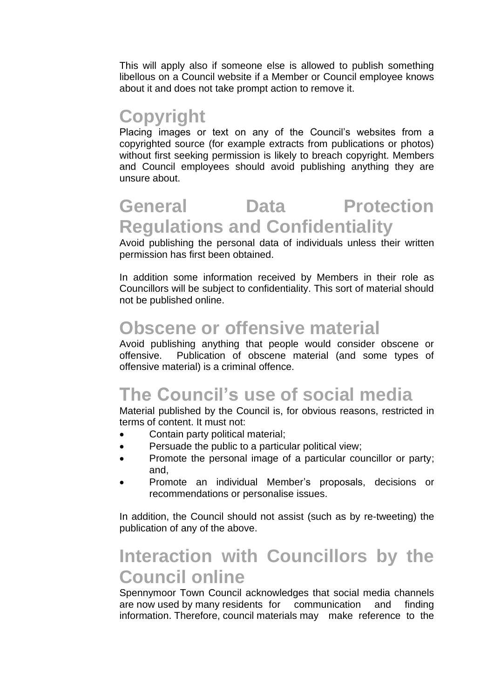This will apply also if someone else is allowed to publish something libellous on a Council website if a Member or Council employee knows about it and does not take prompt action to remove it.

#### **Copyright**

Placing images or text on any of the Council's websites from a copyrighted source (for example extracts from publications or photos) without first seeking permission is likely to breach copyright. Members and Council employees should avoid publishing anything they are unsure about.

### **General Data Protection Regulations and Confidentiality**

Avoid publishing the personal data of individuals unless their written permission has first been obtained.

In addition some information received by Members in their role as Councillors will be subject to confidentiality. This sort of material should not be published online.

#### **Obscene or offensive material**

Avoid publishing anything that people would consider obscene or offensive. Publication of obscene material (and some types of offensive material) is a criminal offence.

# **The Council's use of social media**

Material published by the Council is, for obvious reasons, restricted in terms of content. It must not:

- Contain party political material;
- Persuade the public to a particular political view;
- Promote the personal image of a particular councillor or party; and,
- Promote an individual Member's proposals, decisions or recommendations or personalise issues.

In addition, the Council should not assist (such as by re-tweeting) the publication of any of the above.

### **Interaction with Councillors by the Council online**

Spennymoor Town Council acknowledges that social media channels are now used by many residents for communication and finding information. Therefore, council materials may make reference to the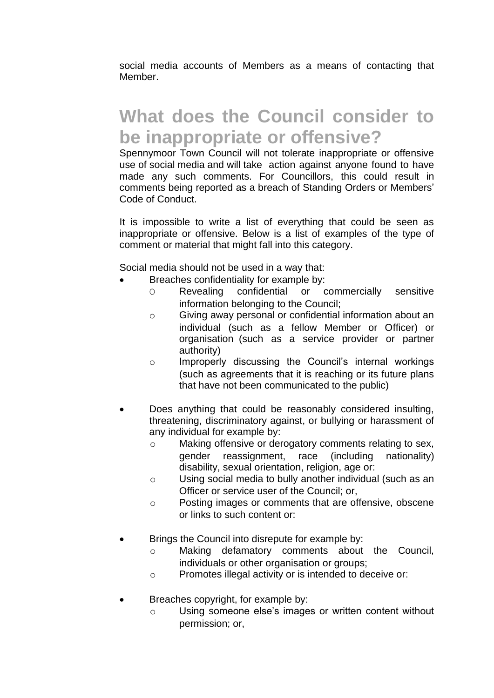social media accounts of Members as a means of contacting that Member.

### **What does the Council consider to be inappropriate or offensive?**

Spennymoor Town Council will not tolerate inappropriate or offensive use of social media and will take action against anyone found to have made any such comments. For Councillors, this could result in comments being reported as a breach of Standing Orders or Members' Code of Conduct.

It is impossible to write a list of everything that could be seen as inappropriate or offensive. Below is a list of examples of the type of comment or material that might fall into this category.

Social media should not be used in a way that:

- Breaches confidentiality for example by:
	- O Revealing confidential or commercially sensitive information belonging to the Council;
	- o Giving away personal or confidential information about an individual (such as a fellow Member or Officer) or organisation (such as a service provider or partner authority)
	- o Improperly discussing the Council's internal workings (such as agreements that it is reaching or its future plans that have not been communicated to the public)
- Does anything that could be reasonably considered insulting, threatening, discriminatory against, or bullying or harassment of any individual for example by:
	- o Making offensive or derogatory comments relating to sex, gender reassignment, race (including nationality) disability, sexual orientation, religion, age or:
	- o Using social media to bully another individual (such as an Officer or service user of the Council; or,
	- o Posting images or comments that are offensive, obscene or links to such content or:
- Brings the Council into disrepute for example by:
	- o Making defamatory comments about the Council, individuals or other organisation or groups;
	- o Promotes illegal activity or is intended to deceive or:
- Breaches copyright, for example by:
	- o Using someone else's images or written content without permission; or,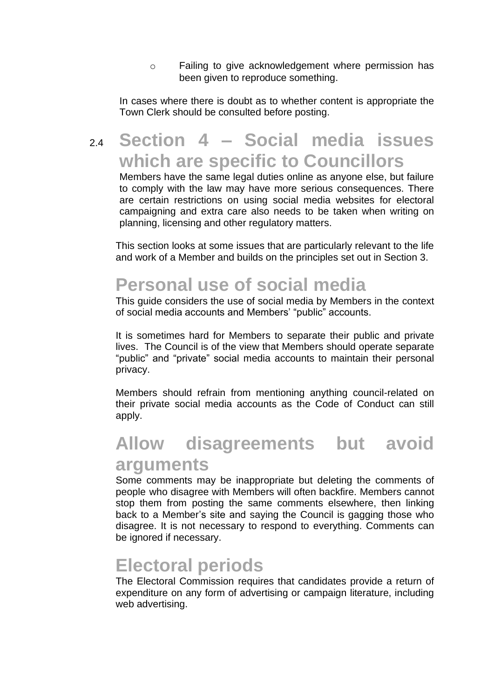o Failing to give acknowledgement where permission has been given to reproduce something.

In cases where there is doubt as to whether content is appropriate the Town Clerk should be consulted before posting.

### 2.4 **Section 4 – Social media issues which are specific to Councillors**

Members have the same legal duties online as anyone else, but failure to comply with the law may have more serious consequences. There are certain restrictions on using social media websites for electoral campaigning and extra care also needs to be taken when writing on planning, licensing and other regulatory matters.

This section looks at some issues that are particularly relevant to the life and work of a Member and builds on the principles set out in Section 3.

### **Personal use of social media**

This guide considers the use of social media by Members in the context of social media accounts and Members' "public" accounts.

It is sometimes hard for Members to separate their public and private lives. The Council is of the view that Members should operate separate "public" and "private" social media accounts to maintain their personal privacy.

Members should refrain from mentioning anything council-related on their private social media accounts as the Code of Conduct can still apply.

# **Allow disagreements but avoid arguments**

Some comments may be inappropriate but deleting the comments of people who disagree with Members will often backfire. Members cannot stop them from posting the same comments elsewhere, then linking back to a Member's site and saying the Council is gagging those who disagree. It is not necessary to respond to everything. Comments can be ignored if necessary.

#### **Electoral periods**

The Electoral Commission requires that candidates provide a return of expenditure on any form of advertising or campaign literature, including web advertising.